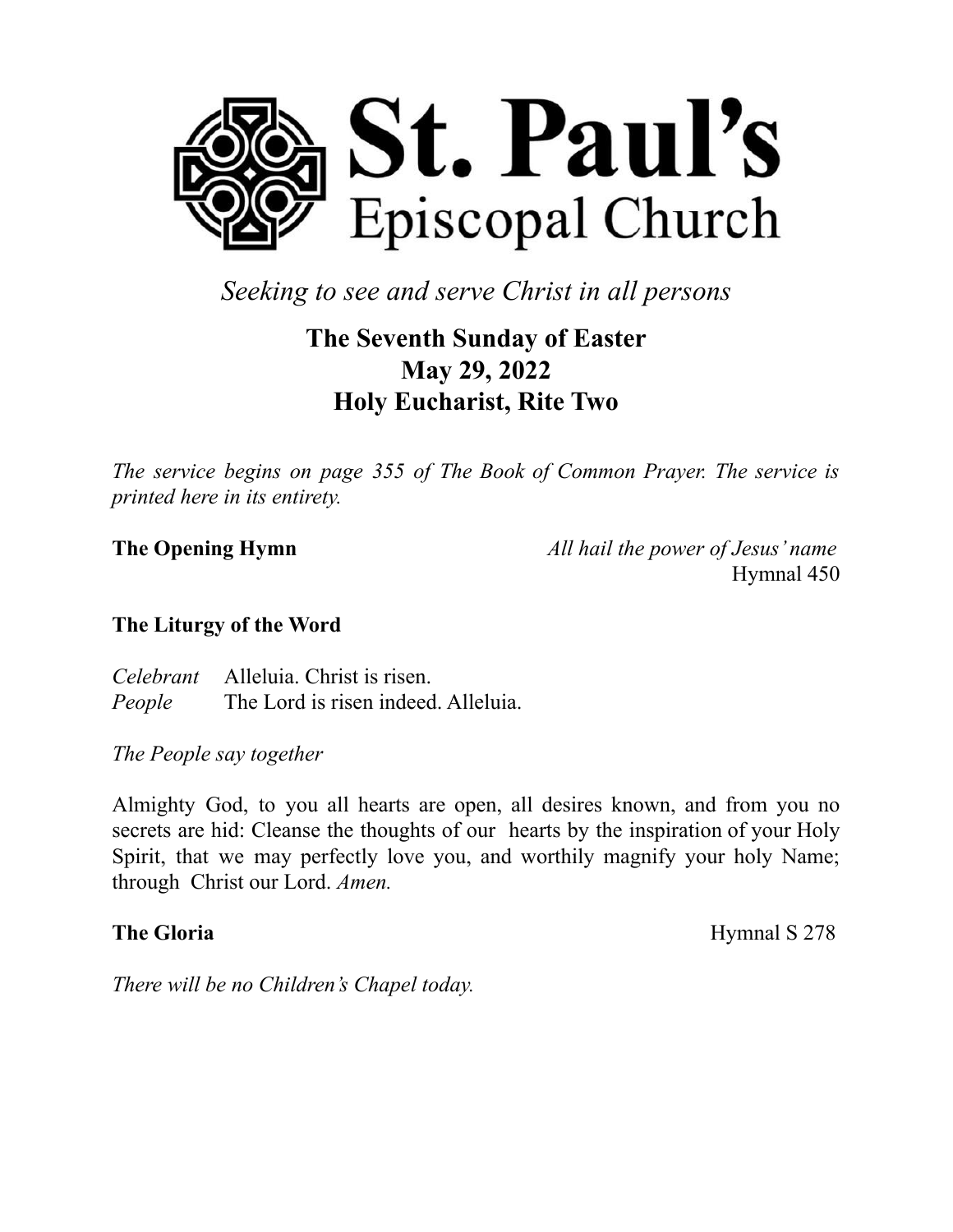

*Seeking to see and serve Christ in all persons*

# **The Seventh Sunday of Easter May 29, 2022 Holy Eucharist, Rite Two**

*The service begins on page 355 of The Book of Common Prayer. The service is printed here in its entirety.*

**The Opening Hymn** *All hail the power of Jesus' name* Hymnal 450

### **The Liturgy of the Word**

*Celebrant* Alleluia. Christ is risen. *People* The Lord is risen indeed. Alleluia.

*The People say together*

Almighty God, to you all hearts are open, all desires known, and from you no secrets are hid: Cleanse the thoughts of our hearts by the inspiration of your Holy Spirit, that we may perfectly love you, and worthily magnify your holy Name; through Christ our Lord. *Amen.*

**The Gloria** Hymnal S 278

*There will be no Children's Chapel today.*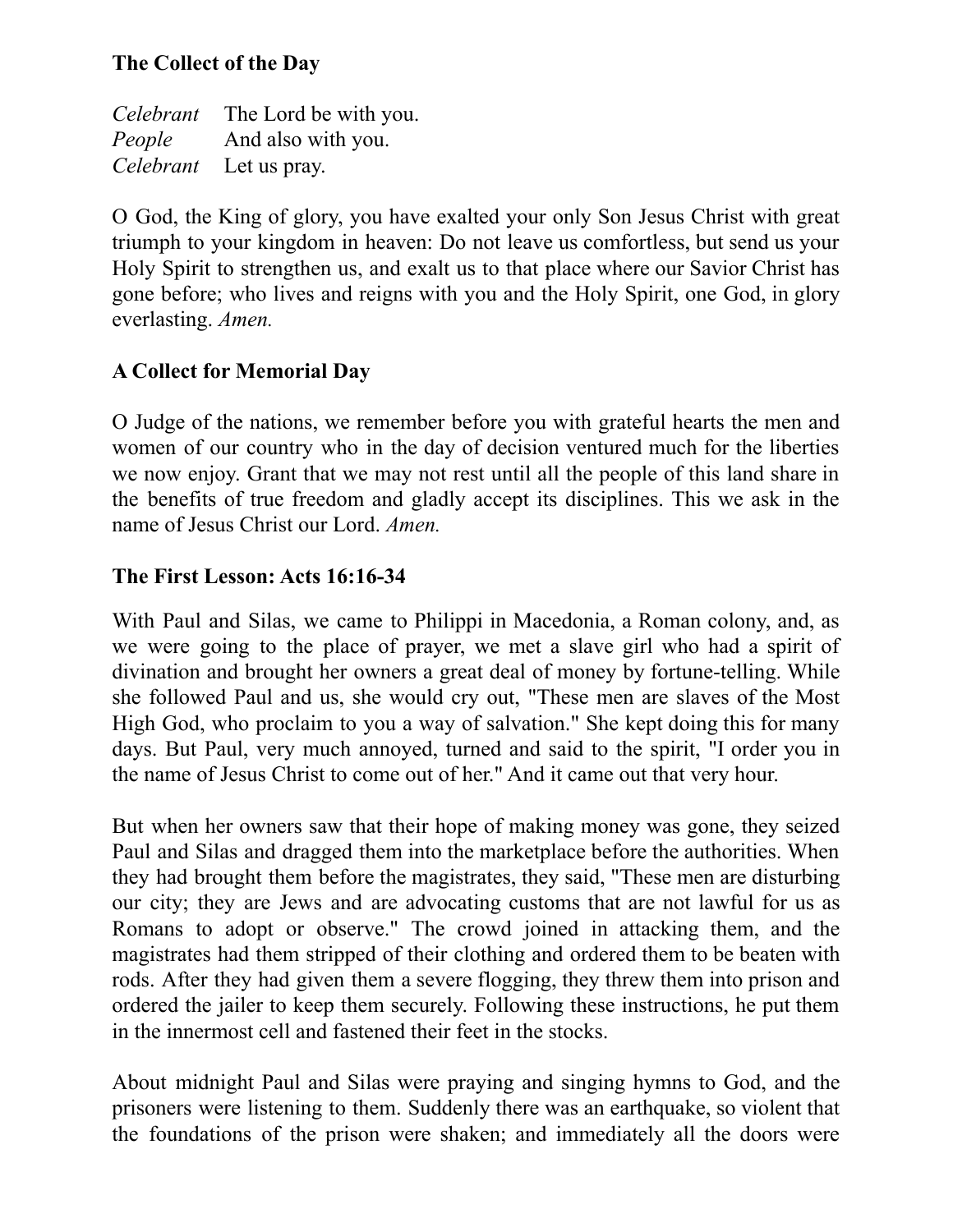### **The Collect of the Day**

*Celebrant* The Lord be with you. *People* And also with you. *Celebrant* Let us pray.

O God, the King of glory, you have exalted your only Son Jesus Christ with great triumph to your kingdom in heaven: Do not leave us comfortless, but send us your Holy Spirit to strengthen us, and exalt us to that place where our Savior Christ has gone before; who lives and reigns with you and the Holy Spirit, one God, in glory everlasting. *Amen.*

# **A Collect for Memorial Day**

O Judge of the nations, we remember before you with grateful hearts the men and women of our country who in the day of decision ventured much for the liberties we now enjoy. Grant that we may not rest until all the people of this land share in the benefits of true freedom and gladly accept its disciplines. This we ask in the name of Jesus Christ our Lord. *Amen.*

# **The First Lesson: Acts 16:16-34**

With Paul and Silas, we came to Philippi in Macedonia, a Roman colony, and, as we were going to the place of prayer, we met a slave girl who had a spirit of divination and brought her owners a great deal of money by fortune-telling. While she followed Paul and us, she would cry out, "These men are slaves of the Most High God, who proclaim to you a way of salvation." She kept doing this for many days. But Paul, very much annoyed, turned and said to the spirit, "I order you in the name of Jesus Christ to come out of her." And it came out that very hour.

But when her owners saw that their hope of making money was gone, they seized Paul and Silas and dragged them into the marketplace before the authorities. When they had brought them before the magistrates, they said, "These men are disturbing our city; they are Jews and are advocating customs that are not lawful for us as Romans to adopt or observe." The crowd joined in attacking them, and the magistrates had them stripped of their clothing and ordered them to be beaten with rods. After they had given them a severe flogging, they threw them into prison and ordered the jailer to keep them securely. Following these instructions, he put them in the innermost cell and fastened their feet in the stocks.

About midnight Paul and Silas were praying and singing hymns to God, and the prisoners were listening to them. Suddenly there was an earthquake, so violent that the foundations of the prison were shaken; and immediately all the doors were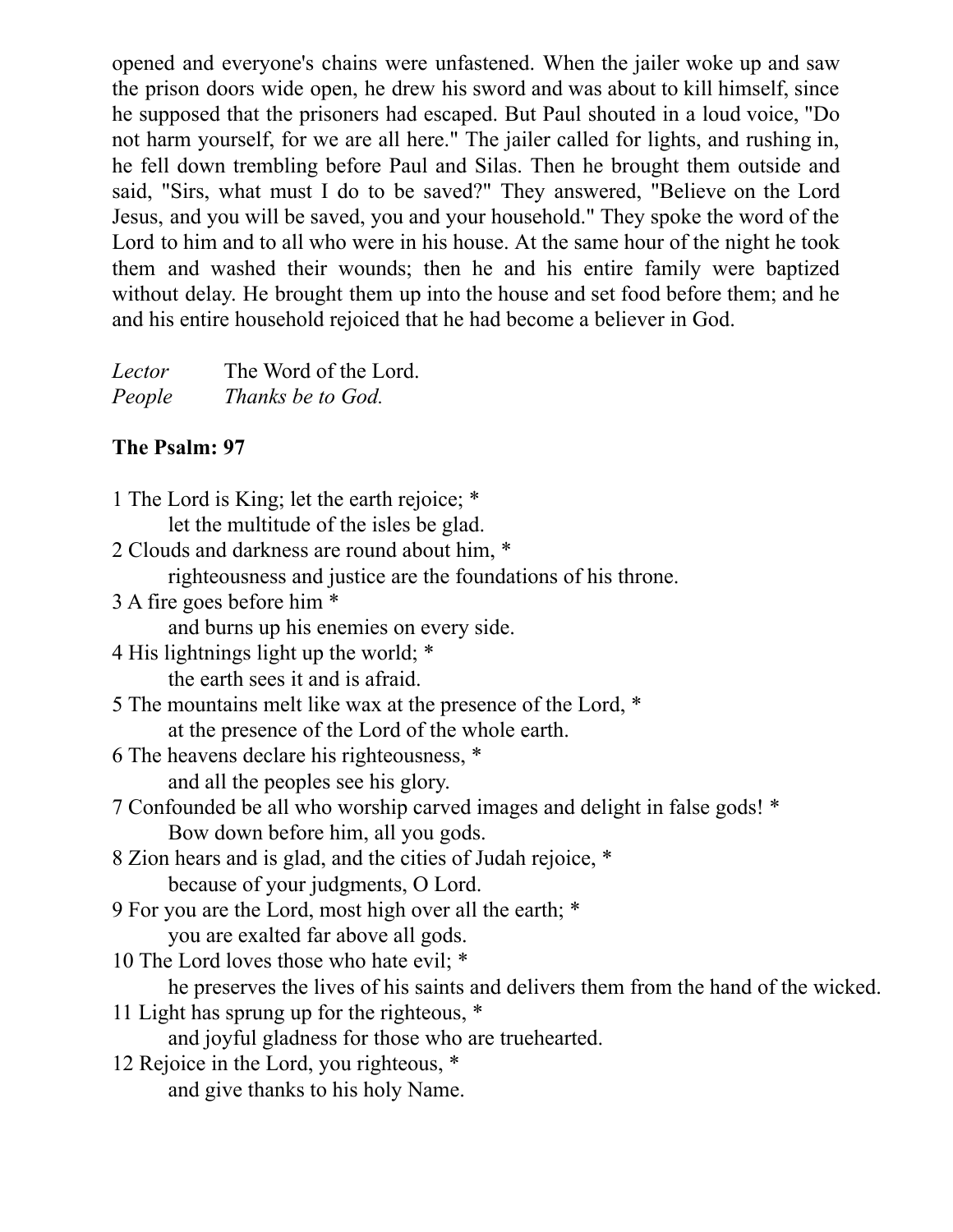opened and everyone's chains were unfastened. When the jailer woke up and saw the prison doors wide open, he drew his sword and was about to kill himself, since he supposed that the prisoners had escaped. But Paul shouted in a loud voice, "Do not harm yourself, for we are all here." The jailer called for lights, and rushing in, he fell down trembling before Paul and Silas. Then he brought them outside and said, "Sirs, what must I do to be saved?" They answered, "Believe on the Lord Jesus, and you will be saved, you and your household." They spoke the word of the Lord to him and to all who were in his house. At the same hour of the night he took them and washed their wounds; then he and his entire family were baptized without delay. He brought them up into the house and set food before them; and he and his entire household rejoiced that he had become a believer in God.

| Lector | The Word of the Lord. |
|--------|-----------------------|
| People | Thanks be to God.     |

## **The Psalm: 97**

| 1 The Lord is King; let the earth rejoice; *                                        |
|-------------------------------------------------------------------------------------|
| let the multitude of the isles be glad.                                             |
| 2 Clouds and darkness are round about him, *                                        |
| righteousness and justice are the foundations of his throne.                        |
| 3 A fire goes before him *                                                          |
| and burns up his enemies on every side.                                             |
| 4 His lightnings light up the world; *                                              |
| the earth sees it and is afraid.                                                    |
| 5 The mountains melt like wax at the presence of the Lord, *                        |
| at the presence of the Lord of the whole earth.                                     |
| 6 The heavens declare his righteousness, *                                          |
| and all the peoples see his glory.                                                  |
| 7 Confounded be all who worship carved images and delight in false gods! *          |
| Bow down before him, all you gods.                                                  |
| 8 Zion hears and is glad, and the cities of Judah rejoice, *                        |
| because of your judgments, O Lord.                                                  |
| 9 For you are the Lord, most high over all the earth; *                             |
| you are exalted far above all gods.                                                 |
| 10 The Lord loves those who hate evil; *                                            |
| he preserves the lives of his saints and delivers them from the hand of the wicked. |
| 11 Light has sprung up for the righteous, *                                         |
| and joyful gladness for those who are truehearted.                                  |
| 12 Rejoice in the Lord, you righteous, *                                            |
| and give thanks to his holy Name.                                                   |
|                                                                                     |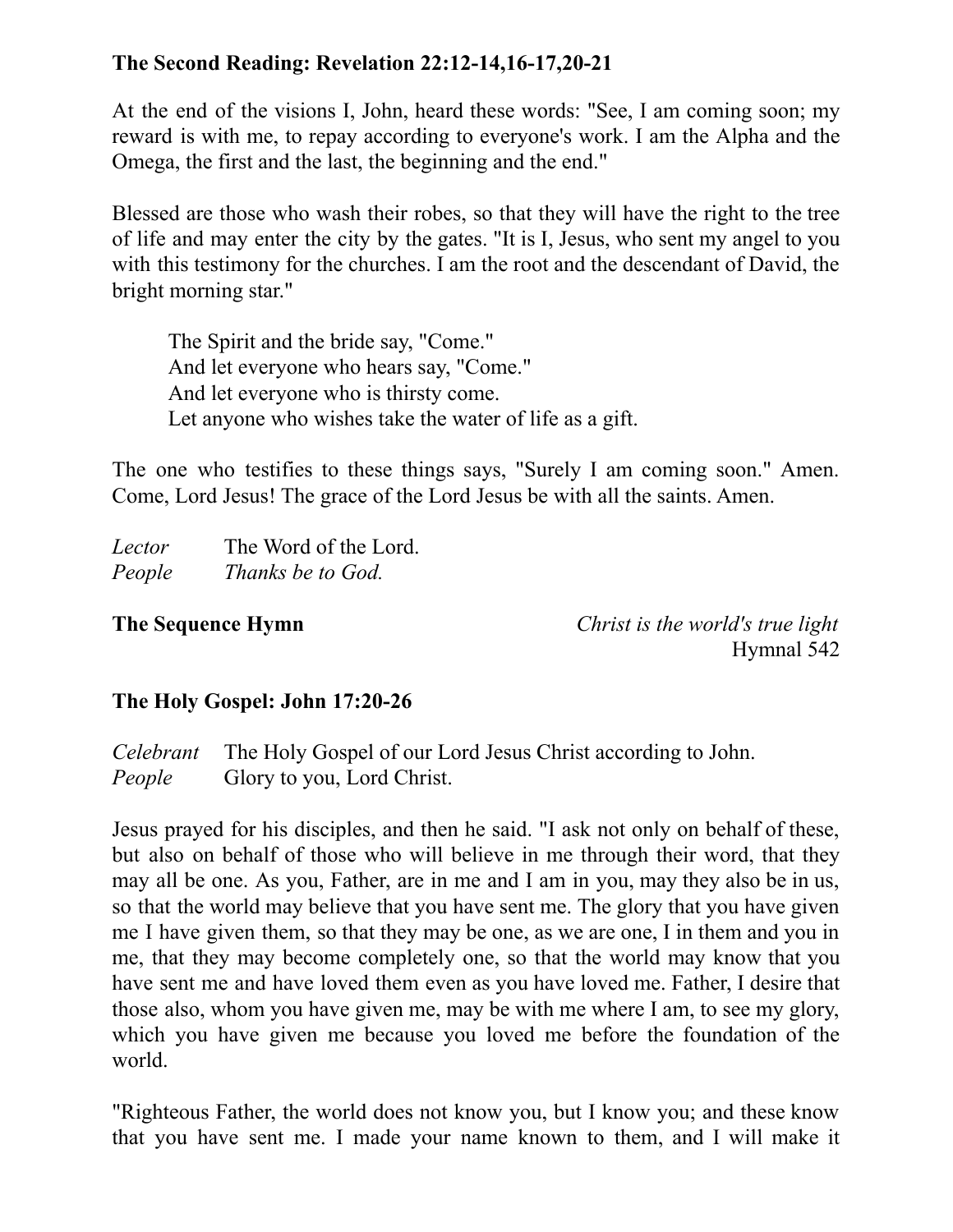## **The Second Reading: Revelation 22:12-14,16-17,20-21**

At the end of the visions I, John, heard these words: "See, I am coming soon; my reward is with me, to repay according to everyone's work. I am the Alpha and the Omega, the first and the last, the beginning and the end."

Blessed are those who wash their robes, so that they will have the right to the tree of life and may enter the city by the gates. "It is I, Jesus, who sent my angel to you with this testimony for the churches. I am the root and the descendant of David, the bright morning star."

The Spirit and the bride say, "Come." And let everyone who hears say, "Come." And let everyone who is thirsty come. Let anyone who wishes take the water of life as a gift.

The one who testifies to these things says, "Surely I am coming soon." Amen. Come, Lord Jesus! The grace of the Lord Jesus be with all the saints. Amen.

*Lector* The Word of the Lord. *People Thanks be to God.*

**The Sequence Hymn** *Christ is the world's true light* Hymnal 542

### **The Holy Gospel: John 17:20-26**

*Celebrant* The Holy Gospel of our Lord Jesus Christ according to John. *People* Glory to you, Lord Christ.

Jesus prayed for his disciples, and then he said. "I ask not only on behalf of these, but also on behalf of those who will believe in me through their word, that they may all be one. As you, Father, are in me and I am in you, may they also be in us, so that the world may believe that you have sent me. The glory that you have given me I have given them, so that they may be one, as we are one, I in them and you in me, that they may become completely one, so that the world may know that you have sent me and have loved them even as you have loved me. Father, I desire that those also, whom you have given me, may be with me where I am, to see my glory, which you have given me because you loved me before the foundation of the world.

"Righteous Father, the world does not know you, but I know you; and these know that you have sent me. I made your name known to them, and I will make it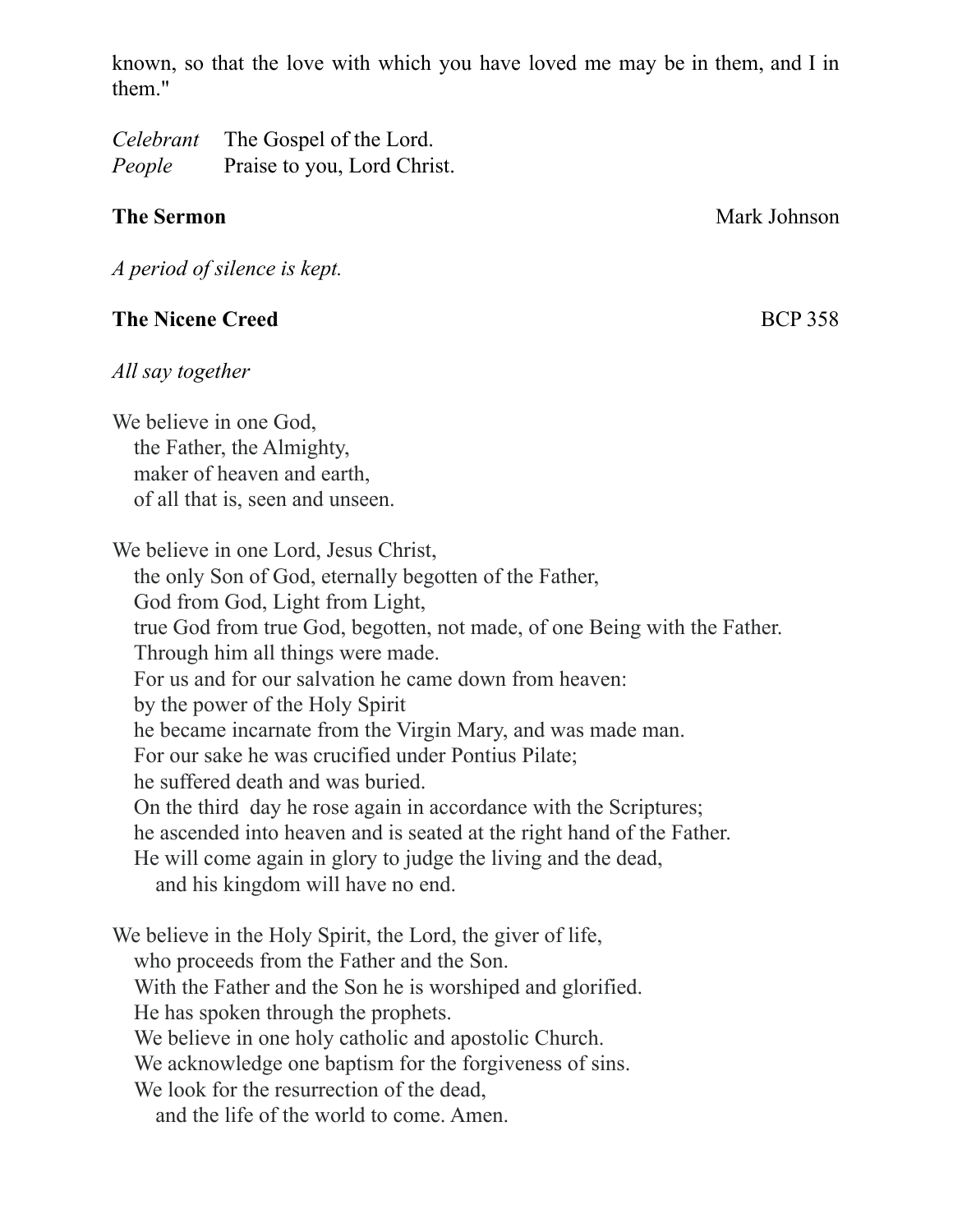known, so that the love with which you have loved me may be in them, and I in them."

*Celebrant* The Gospel of the Lord. *People* Praise to you, Lord Christ.

*A period of silence is kept.*

## **The Nicene Creed** BCP 358

### *All say together*

We believe in one God, the Father, the Almighty, maker of heaven and earth, of all that is, seen and unseen.

We believe in one Lord, Jesus Christ, the only Son of God, eternally begotten of the Father, God from God, Light from Light, true God from true God, begotten, not made, of one Being with the Father. Through him all things were made. For us and for our salvation he came down from heaven: by the power of the Holy Spirit he became incarnate from the Virgin Mary, and was made man. For our sake he was crucified under Pontius Pilate; he suffered death and was buried. On the third day he rose again in accordance with the Scriptures; he ascended into heaven and is seated at the right hand of the Father. He will come again in glory to judge the living and the dead, and his kingdom will have no end. We believe in the Holy Spirit, the Lord, the giver of life, who proceeds from the Father and the Son. With the Father and the Son he is worshiped and glorified. He has spoken through the prophets. We believe in one holy catholic and apostolic Church. We acknowledge one baptism for the forgiveness of sins. We look for the resurrection of the dead, and the life of the world to come. Amen.

**The Sermon** Mark Johnson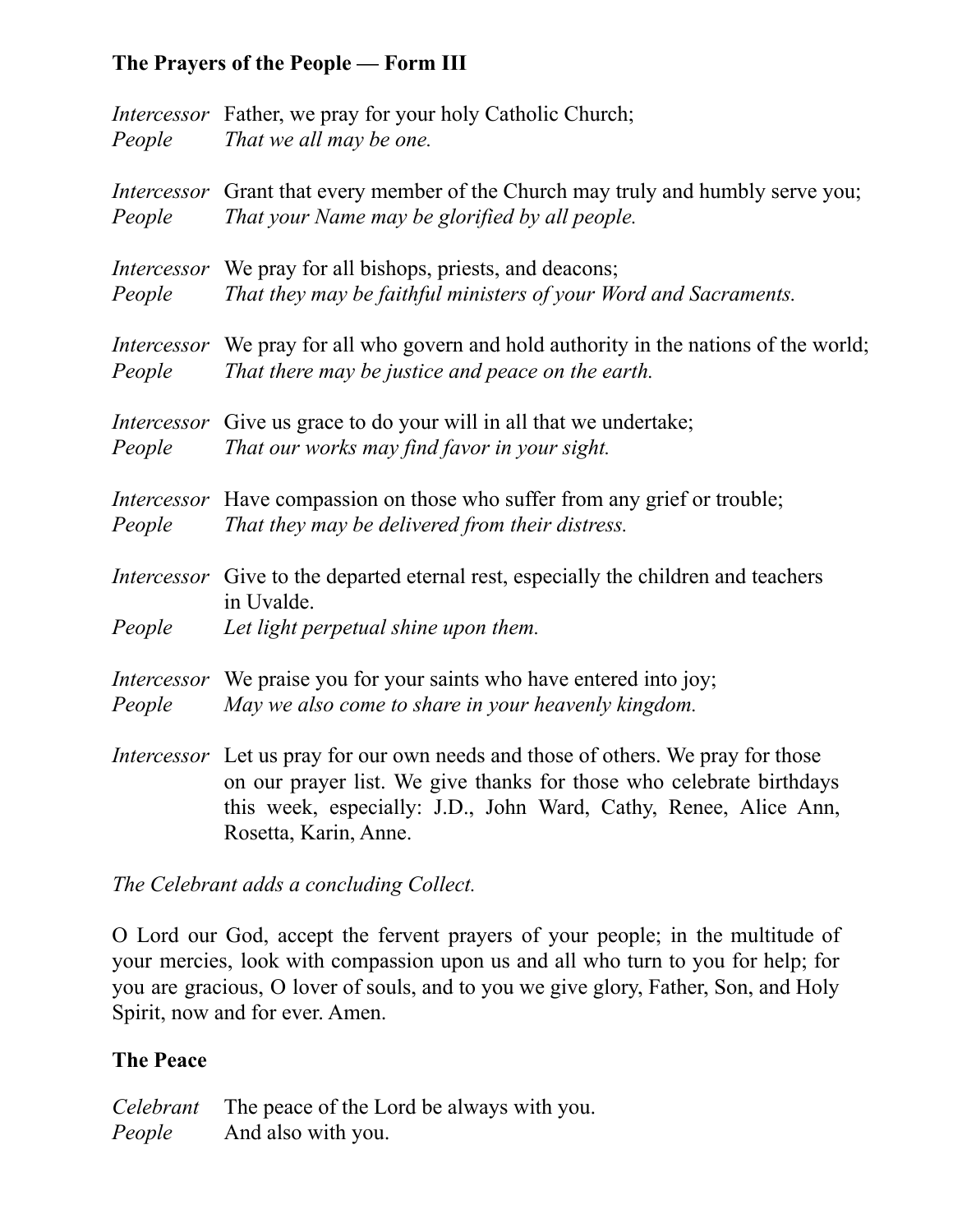## **The Prayers of the People — Form III**

| People                | Intercessor Father, we pray for your holy Catholic Church;<br>That we all may be one.                                                                                                                                                                        |
|-----------------------|--------------------------------------------------------------------------------------------------------------------------------------------------------------------------------------------------------------------------------------------------------------|
| People                | <i>Intercessor</i> Grant that every member of the Church may truly and humbly serve you;<br>That your Name may be glorified by all people.                                                                                                                   |
| People                | Intercessor We pray for all bishops, priests, and deacons;<br>That they may be faithful ministers of your Word and Sacraments.                                                                                                                               |
| People                | <i>Intercessor</i> We pray for all who govern and hold authority in the nations of the world;<br>That there may be justice and peace on the earth.                                                                                                           |
| Intercessor<br>People | Give us grace to do your will in all that we undertake;<br>That our works may find favor in your sight.                                                                                                                                                      |
| Intercessor<br>People | Have compassion on those who suffer from any grief or trouble;<br>That they may be delivered from their distress.                                                                                                                                            |
|                       | <i>Intercessor</i> Give to the departed eternal rest, especially the children and teachers<br>in Uvalde.                                                                                                                                                     |
| People                | Let light perpetual shine upon them.                                                                                                                                                                                                                         |
| People                | <i>Intercessor</i> We praise you for your saints who have entered into joy;<br>May we also come to share in your heavenly kingdom.                                                                                                                           |
|                       | <i>Intercessor</i> Let us pray for our own needs and those of others. We pray for those<br>on our prayer list. We give thanks for those who celebrate birthdays<br>this week, especially: J.D., John Ward, Cathy, Renee, Alice Ann,<br>Rosetta, Karin, Anne. |

*The Celebrant adds a concluding Collect.*

O Lord our God, accept the fervent prayers of your people; in the multitude of your mercies, look with compassion upon us and all who turn to you for help; for you are gracious, O lover of souls, and to you we give glory, Father, Son, and Holy Spirit, now and for ever. Amen.

### **The Peace**

*Celebrant* The peace of the Lord be always with you. *People* And also with you.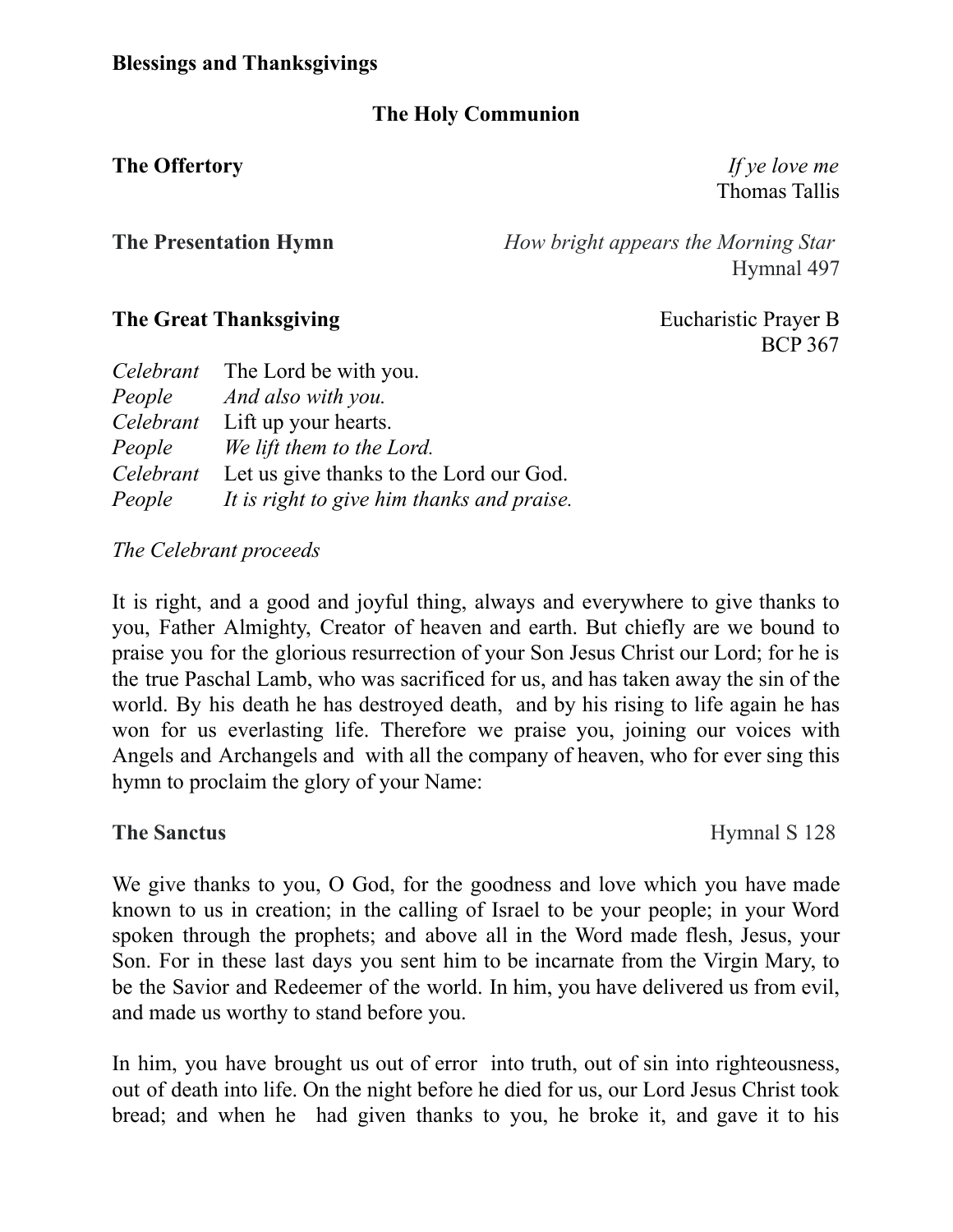## **The Holy Communion**

### **The Offertory** *If ye love me*

Thomas Tallis

**The Presentation Hymn** *How bright appears the Morning Star* Hymnal 497

### **The Great Thanksgiving** Eucharistic Prayer B

BCP 367

|           | <i>Celebrant</i> The Lord be with you.     |
|-----------|--------------------------------------------|
| People    | And also with you.                         |
|           | <i>Celebrant</i> Lift up your hearts.      |
| People    | We lift them to the Lord.                  |
| Celebrant | Let us give thanks to the Lord our God.    |
| People    | It is right to give him thanks and praise. |

*The Celebrant proceeds*

It is right, and a good and joyful thing, always and everywhere to give thanks to you, Father Almighty, Creator of heaven and earth. But chiefly are we bound to praise you for the glorious resurrection of your Son Jesus Christ our Lord; for he is the true Paschal Lamb, who was sacrificed for us, and has taken away the sin of the world. By his death he has destroyed death, and by his rising to life again he has won for us everlasting life. Therefore we praise you, joining our voices with Angels and Archangels and with all the company of heaven, who for ever sing this hymn to proclaim the glory of your Name:

**The Sanctus** Hymnal S 128

We give thanks to you, O God, for the goodness and love which you have made known to us in creation; in the calling of Israel to be your people; in your Word spoken through the prophets; and above all in the Word made flesh, Jesus, your Son. For in these last days you sent him to be incarnate from the Virgin Mary, to be the Savior and Redeemer of the world. In him, you have delivered us from evil, and made us worthy to stand before you.

In him, you have brought us out of error into truth, out of sin into righteousness, out of death into life. On the night before he died for us, our Lord Jesus Christ took bread; and when he had given thanks to you, he broke it, and gave it to his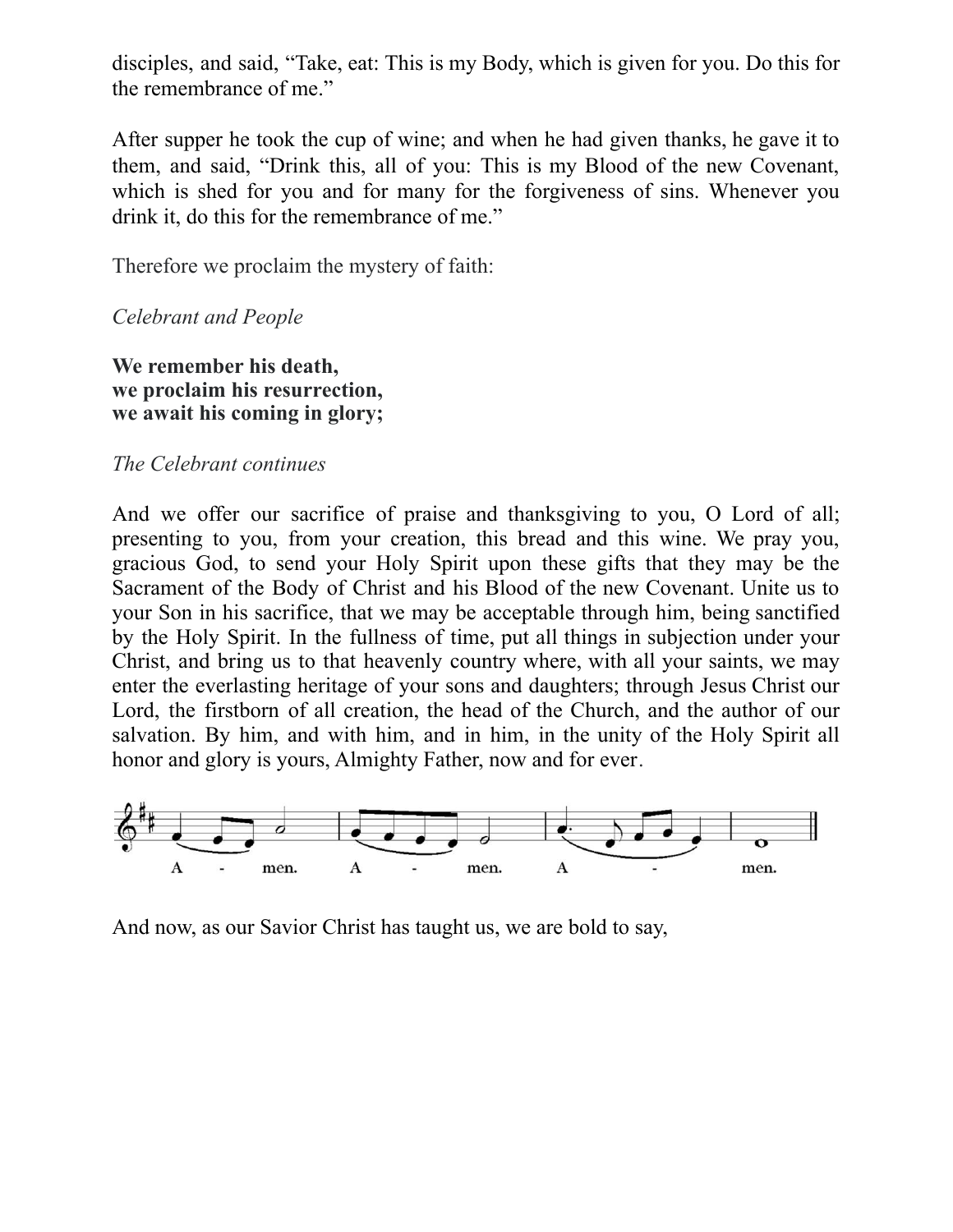disciples, and said, "Take, eat: This is my Body, which is given for you. Do this for the remembrance of me."

After supper he took the cup of wine; and when he had given thanks, he gave it to them, and said, "Drink this, all of you: This is my Blood of the new Covenant, which is shed for you and for many for the forgiveness of sins. Whenever you drink it, do this for the remembrance of me."

Therefore we proclaim the mystery of faith:

*Celebrant and People*

**We remember his death, we proclaim his resurrection, we await his coming in glory;**

### *The Celebrant continues*

And we offer our sacrifice of praise and thanksgiving to you, O Lord of all; presenting to you, from your creation, this bread and this wine. We pray you, gracious God, to send your Holy Spirit upon these gifts that they may be the Sacrament of the Body of Christ and his Blood of the new Covenant. Unite us to your Son in his sacrifice, that we may be acceptable through him, being sanctified by the Holy Spirit. In the fullness of time, put all things in subjection under your Christ, and bring us to that heavenly country where, with all your saints, we may enter the everlasting heritage of your sons and daughters; through Jesus Christ our Lord, the firstborn of all creation, the head of the Church, and the author of our salvation. By him, and with him, and in him, in the unity of the Holy Spirit all honor and glory is yours, Almighty Father, now and for ever.



And now, as our Savior Christ has taught us, we are bold to say,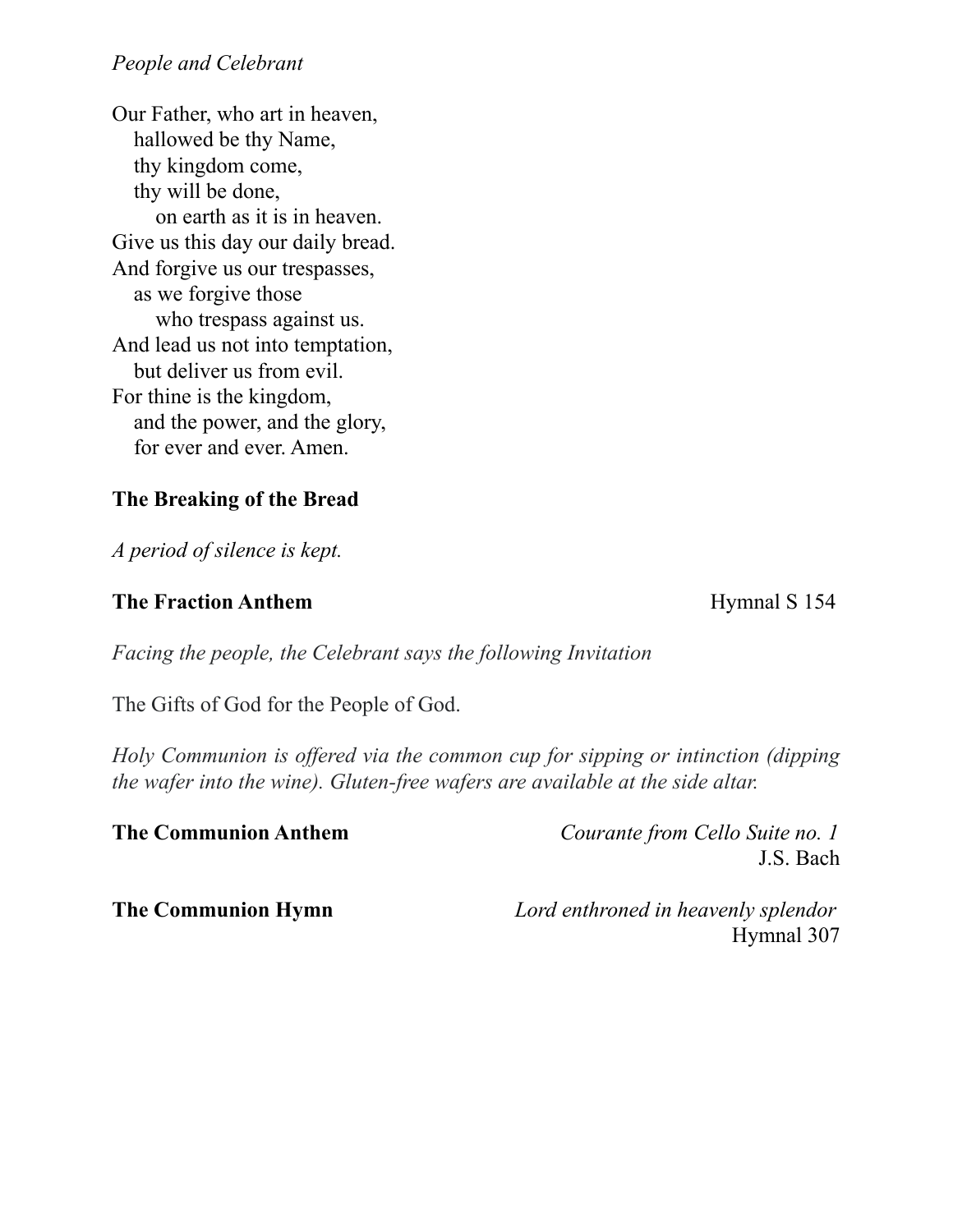### *People and Celebrant*

Our Father, who art in heaven, hallowed be thy Name, thy kingdom come, thy will be done, on earth as it is in heaven. Give us this day our daily bread. And forgive us our trespasses, as we forgive those who trespass against us. And lead us not into temptation, but deliver us from evil. For thine is the kingdom, and the power, and the glory, for ever and ever. Amen.

### **The Breaking of the Bread**

*A period of silence is kept.*

### **The Fraction Anthem** Hymnal S 154

*Facing the people, the Celebrant says the following Invitation*

The Gifts of God for the People of God.

*Holy Communion is of ered via the common cup for sipping or intinction (dipping the wafer into the wine). Gluten-free wafers are available at the side altar.*

| <b>The Communion Anthem</b> | Courante from Cello Suite no. 1 |
|-----------------------------|---------------------------------|
|                             | J.S. Bach                       |
|                             |                                 |

**The Communion Hymn** *Lord enthroned in heavenly splendor* Hymnal 307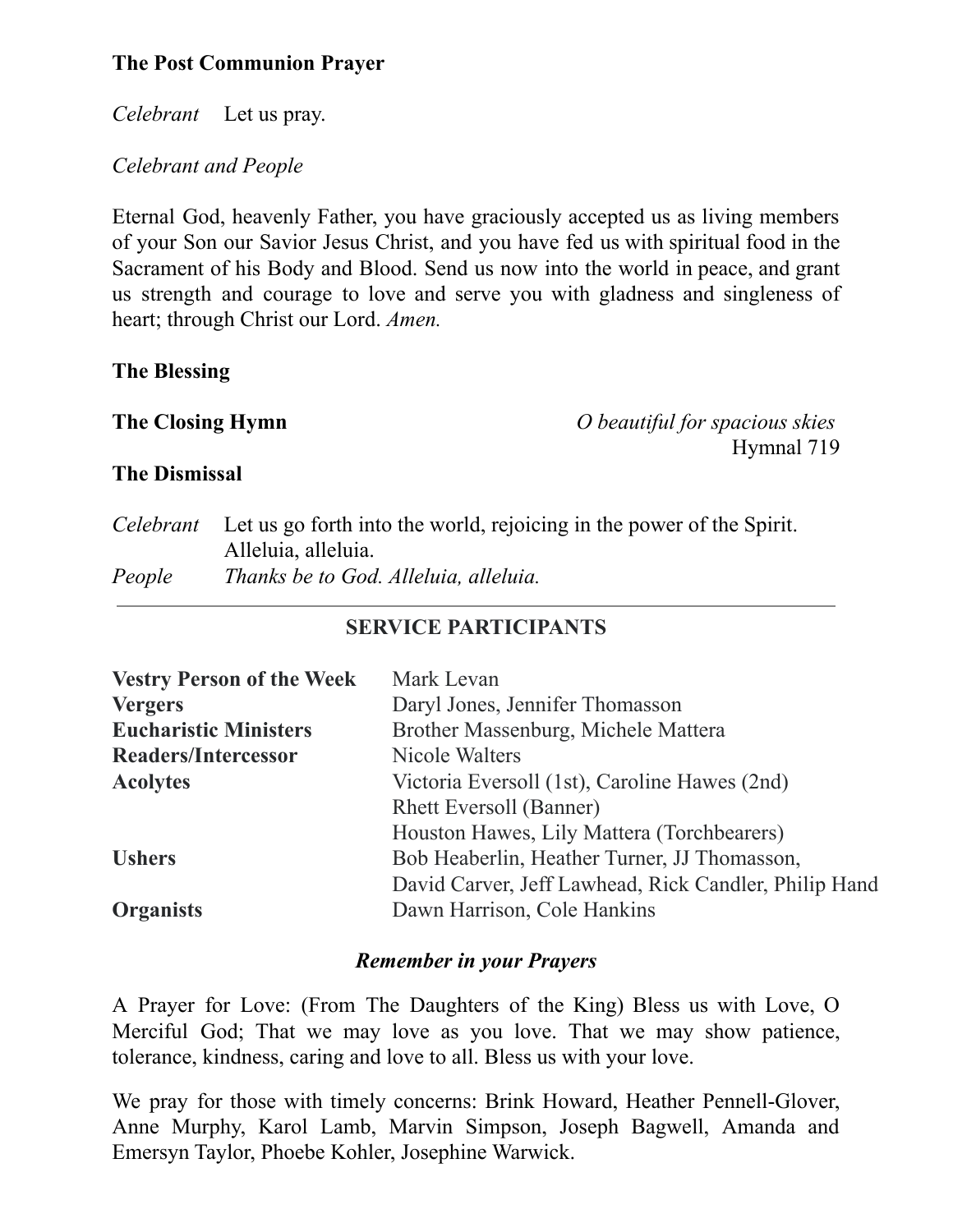### **The Post Communion Prayer**

*Celebrant* Let us pray.

### *Celebrant and People*

Eternal God, heavenly Father, you have graciously accepted us as living members of your Son our Savior Jesus Christ, and you have fed us with spiritual food in the Sacrament of his Body and Blood. Send us now into the world in peace, and grant us strength and courage to love and serve you with gladness and singleness of heart; through Christ our Lord. *Amen.*

### **The Blessing**

| <b>The Closing Hymn</b> | O beautiful for spacious skies |
|-------------------------|--------------------------------|
|                         | Hymnal 719                     |

### **The Dismissal**

*Celebrant* Let us go forth into the world, rejoicing in the power of the Spirit. Alleluia, alleluia. *People Thanks be to God. Alleluia, alleluia.*

### **SERVICE PARTICIPANTS**

| <b>Vestry Person of the Week</b> | Mark Levan                                            |
|----------------------------------|-------------------------------------------------------|
| <b>Vergers</b>                   | Daryl Jones, Jennifer Thomasson                       |
| <b>Eucharistic Ministers</b>     | Brother Massenburg, Michele Mattera                   |
| <b>Readers/Intercessor</b>       | Nicole Walters                                        |
| <b>Acolytes</b>                  | Victoria Eversoll (1st), Caroline Hawes (2nd)         |
|                                  | <b>Rhett Eversoll (Banner)</b>                        |
|                                  | Houston Hawes, Lily Mattera (Torchbearers)            |
| <b>Ushers</b>                    | Bob Heaberlin, Heather Turner, JJ Thomasson,          |
|                                  | David Carver, Jeff Lawhead, Rick Candler, Philip Hand |
| <b>Organists</b>                 | Dawn Harrison, Cole Hankins                           |

### *Remember in your Prayers*

A Prayer for Love: (From The Daughters of the King) Bless us with Love, O Merciful God; That we may love as you love. That we may show patience, tolerance, kindness, caring and love to all. Bless us with your love.

We pray for those with timely concerns: Brink Howard, Heather Pennell-Glover, Anne Murphy, Karol Lamb, Marvin Simpson, Joseph Bagwell, Amanda and Emersyn Taylor, Phoebe Kohler, Josephine Warwick.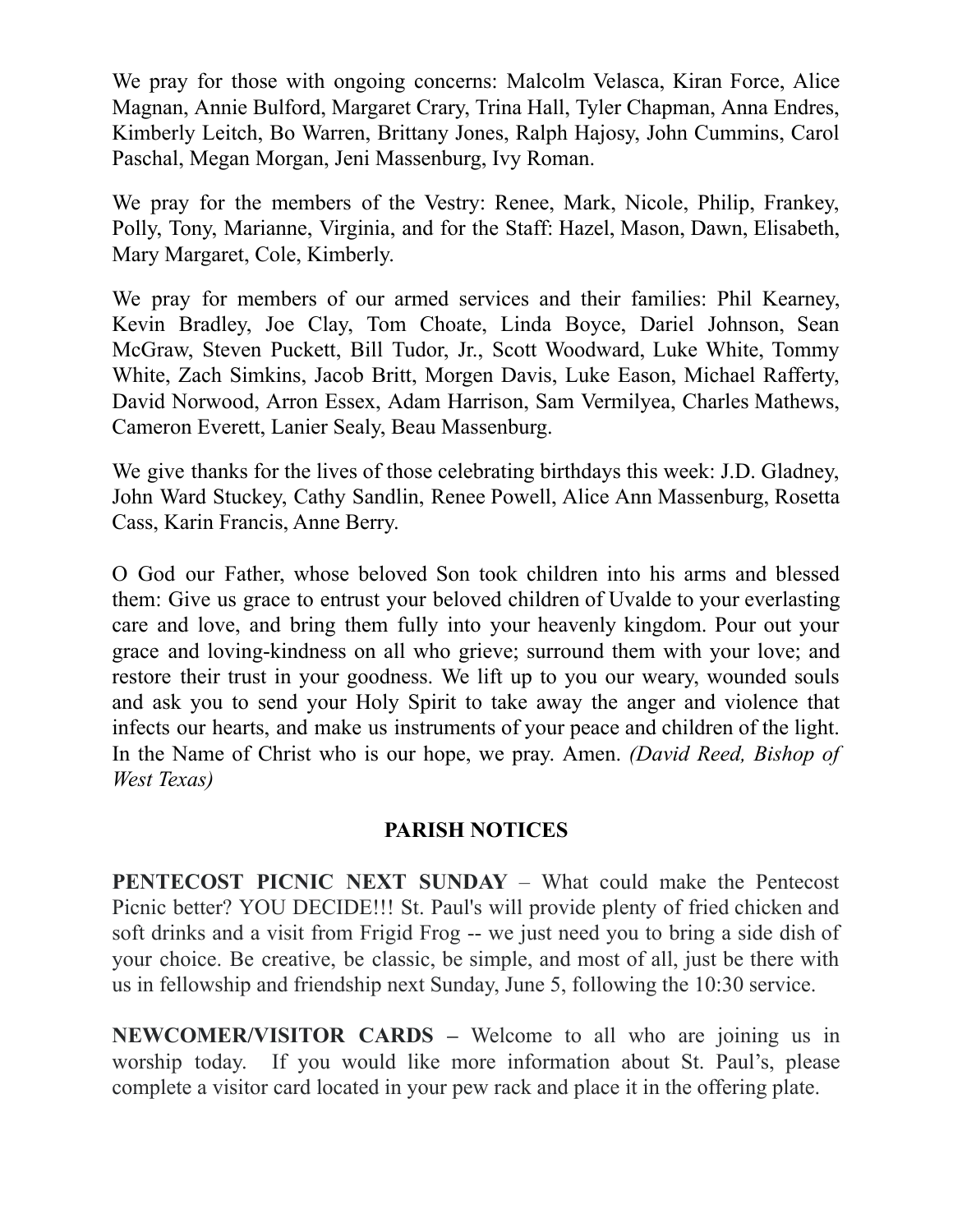We pray for those with ongoing concerns: Malcolm Velasca, Kiran Force, Alice Magnan, Annie Bulford, Margaret Crary, Trina Hall, Tyler Chapman, Anna Endres, Kimberly Leitch, Bo Warren, Brittany Jones, Ralph Hajosy, John Cummins, Carol Paschal, Megan Morgan, Jeni Massenburg, Ivy Roman.

We pray for the members of the Vestry: Renee, Mark, Nicole, Philip, Frankey, Polly, Tony, Marianne, Virginia, and for the Staff: Hazel, Mason, Dawn, Elisabeth, Mary Margaret, Cole, Kimberly.

We pray for members of our armed services and their families: Phil Kearney, Kevin Bradley, Joe Clay, Tom Choate, Linda Boyce, Dariel Johnson, Sean McGraw, Steven Puckett, Bill Tudor, Jr., Scott Woodward, Luke White, Tommy White, Zach Simkins, Jacob Britt, Morgen Davis, Luke Eason, Michael Rafferty, David Norwood, Arron Essex, Adam Harrison, Sam Vermilyea, Charles Mathews, Cameron Everett, Lanier Sealy, Beau Massenburg.

We give thanks for the lives of those celebrating birthdays this week: J.D. Gladney, John Ward Stuckey, Cathy Sandlin, Renee Powell, Alice Ann Massenburg, Rosetta Cass, Karin Francis, Anne Berry.

O God our Father, whose beloved Son took children into his arms and blessed them: Give us grace to entrust your beloved children of Uvalde to your everlasting care and love, and bring them fully into your heavenly kingdom. Pour out your grace and loving-kindness on all who grieve; surround them with your love; and restore their trust in your goodness. We lift up to you our weary, wounded souls and ask you to send your Holy Spirit to take away the anger and violence that infects our hearts, and make us instruments of your peace and children of the light. In the Name of Christ who is our hope, we pray. Amen. *(David Reed, Bishop of West Texas)*

### **PARISH NOTICES**

**PENTECOST PICNIC NEXT SUNDAY** – What could make the Pentecost Picnic better? YOU DECIDE!!! St. Paul's will provide plenty of fried chicken and soft drinks and a visit from Frigid Frog -- we just need you to bring a side dish of your choice. Be creative, be classic, be simple, and most of all, just be there with us in fellowship and friendship next Sunday, June 5, following the 10:30 service.

**NEWCOMER/VISITOR CARDS –** Welcome to all who are joining us in worship today. If you would like more information about St. Paul's, please complete a visitor card located in your pew rack and place it in the offering plate.